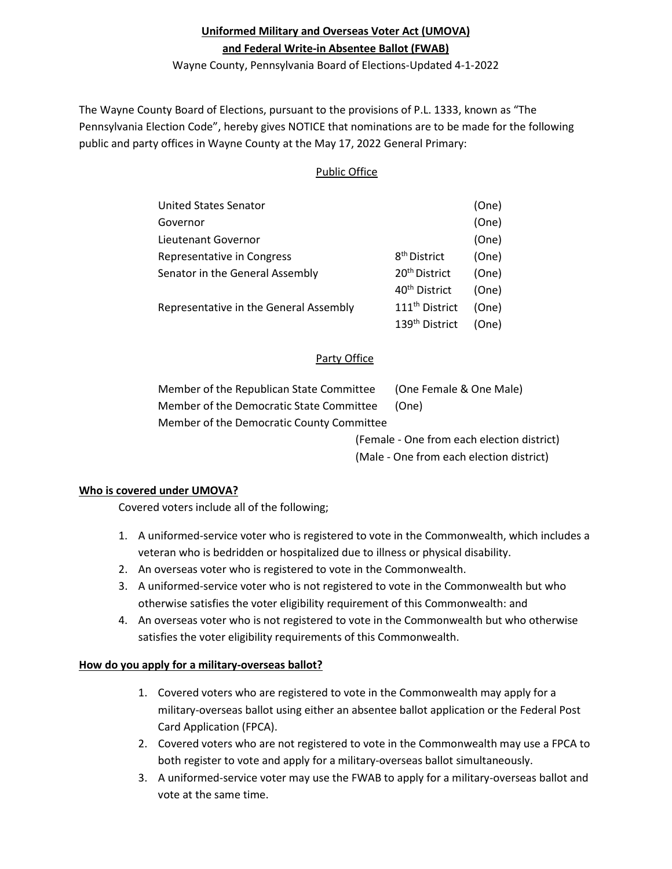# **Uniformed Military and Overseas Voter Act (UMOVA) and Federal Write-in Absentee Ballot (FWAB)**

Wayne County, Pennsylvania Board of Elections-Updated 4-1-2022

The Wayne County Board of Elections, pursuant to the provisions of P.L. 1333, known as "The Pennsylvania Election Code", hereby gives NOTICE that nominations are to be made for the following public and party offices in Wayne County at the May 17, 2022 General Primary:

# Public Office

| <b>United States Senator</b>           |                            | (One) |
|----------------------------------------|----------------------------|-------|
| Governor                               |                            | (One) |
| Lieutenant Governor                    |                            | (One) |
| Representative in Congress             | 8 <sup>th</sup> District   | (One) |
| Senator in the General Assembly        | 20 <sup>th</sup> District  | (One) |
|                                        | 40 <sup>th</sup> District  | (One) |
| Representative in the General Assembly | 111 <sup>th</sup> District | (One) |
|                                        | 139 <sup>th</sup> District | (One) |

# Party Office

| Member of the Republican State Committee  | (One Female & One Male) |
|-------------------------------------------|-------------------------|
| Member of the Democratic State Committee  | (One)                   |
| Member of the Democratic County Committee |                         |

(Female - One from each election district) (Male - One from each election district)

# **Who is covered under UMOVA?**

Covered voters include all of the following;

- 1. A uniformed-service voter who is registered to vote in the Commonwealth, which includes a veteran who is bedridden or hospitalized due to illness or physical disability.
- 2. An overseas voter who is registered to vote in the Commonwealth.
- 3. A uniformed-service voter who is not registered to vote in the Commonwealth but who otherwise satisfies the voter eligibility requirement of this Commonwealth: and
- 4. An overseas voter who is not registered to vote in the Commonwealth but who otherwise satisfies the voter eligibility requirements of this Commonwealth.

# **How do you apply for a military-overseas ballot?**

- 1. Covered voters who are registered to vote in the Commonwealth may apply for a military-overseas ballot using either an absentee ballot application or the Federal Post Card Application (FPCA).
- 2. Covered voters who are not registered to vote in the Commonwealth may use a FPCA to both register to vote and apply for a military-overseas ballot simultaneously.
- 3. A uniformed-service voter may use the FWAB to apply for a military-overseas ballot and vote at the same time.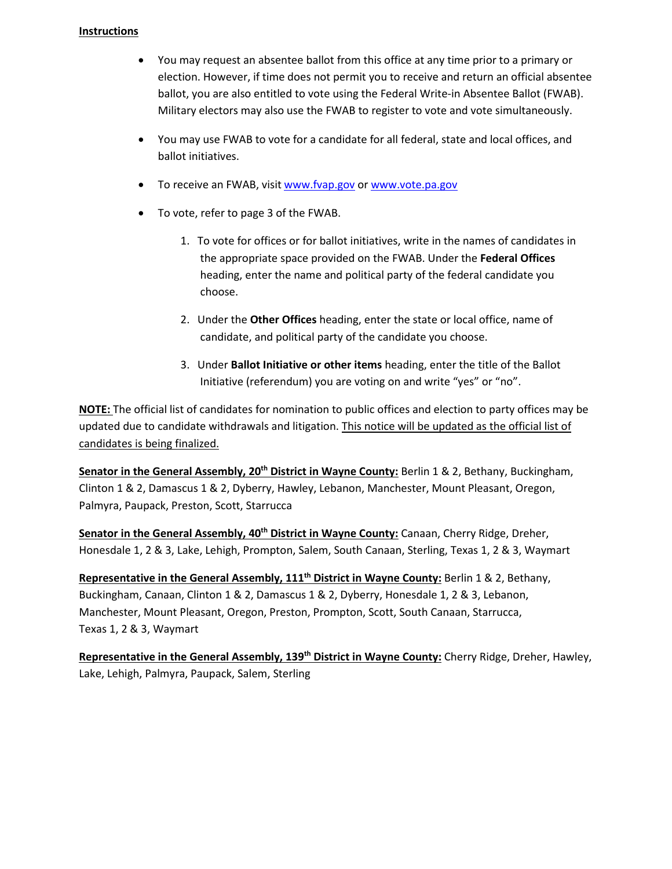# **Instructions**

- You may request an absentee ballot from this office at any time prior to a primary or election. However, if time does not permit you to receive and return an official absentee ballot, you are also entitled to vote using the Federal Write-in Absentee Ballot (FWAB). Military electors may also use the FWAB to register to vote and vote simultaneously.
- You may use FWAB to vote for a candidate for all federal, state and local offices, and ballot initiatives.
- To receive an FWAB, visit [www.fvap.gov](http://www.fvap.gov/) or [www.vote.pa.gov](http://www.vote.pa.gov/)
- To vote, refer to page 3 of the FWAB.
	- 1. To vote for offices or for ballot initiatives, write in the names of candidates in the appropriate space provided on the FWAB. Under the **Federal Offices** heading, enter the name and political party of the federal candidate you choose.
	- 2. Under the **Other Offices** heading, enter the state or local office, name of candidate, and political party of the candidate you choose.
	- 3. Under **Ballot Initiative or other items** heading, enter the title of the Ballot Initiative (referendum) you are voting on and write "yes" or "no".

**NOTE:** The official list of candidates for nomination to public offices and election to party offices may be updated due to candidate withdrawals and litigation. This notice will be updated as the official list of candidates is being finalized.

**Senator in the General Assembly, 20th District in Wayne County:** Berlin 1 & 2, Bethany, Buckingham, Clinton 1 & 2, Damascus 1 & 2, Dyberry, Hawley, Lebanon, Manchester, Mount Pleasant, Oregon, Palmyra, Paupack, Preston, Scott, Starrucca

**Senator in the General Assembly, 40<sup>th</sup> District in Wayne County:** Canaan, Cherry Ridge, Dreher, Honesdale 1, 2 & 3, Lake, Lehigh, Prompton, Salem, South Canaan, Sterling, Texas 1, 2 & 3, Waymart

**Representative in the General Assembly, 111th District in Wayne County:** Berlin 1 & 2, Bethany, Buckingham, Canaan, Clinton 1 & 2, Damascus 1 & 2, Dyberry, Honesdale 1, 2 & 3, Lebanon, Manchester, Mount Pleasant, Oregon, Preston, Prompton, Scott, South Canaan, Starrucca, Texas 1, 2 & 3, Waymart

**Representative in the General Assembly, 139th District in Wayne County:** Cherry Ridge, Dreher, Hawley, Lake, Lehigh, Palmyra, Paupack, Salem, Sterling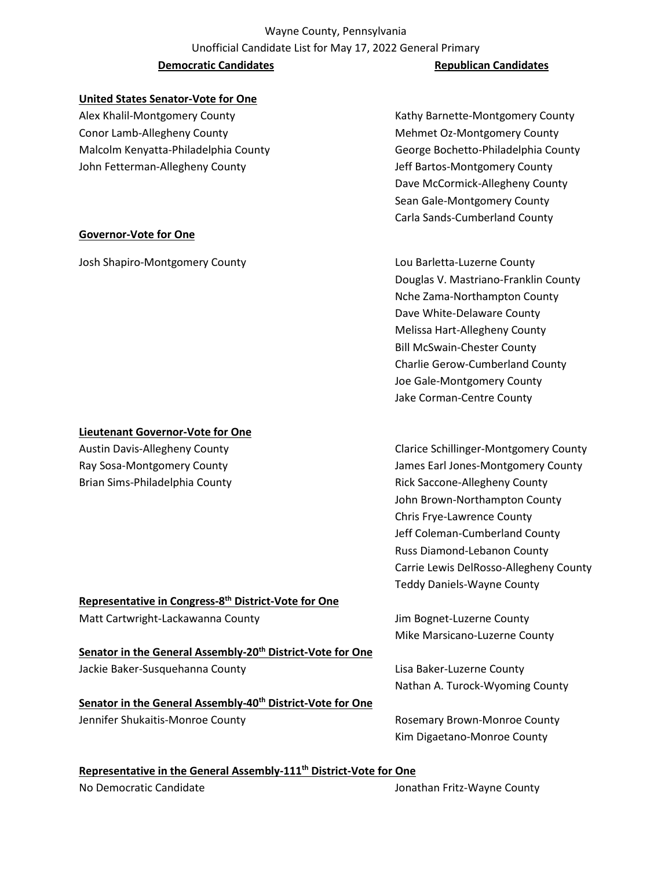# Wayne County, Pennsylvania Unofficial Candidate List for May 17, 2022 General Primary **Democratic Candidates Republican Candidates Republican Candidates**

# **United States Senator-Vote for One**

Alex Khalil-Montgomery County **Kathy Barnette-Montgomery County** Kathy Barnette-Montgomery County Conor Lamb-Allegheny County **Mehmet Oz-Montgomery County** Mehmet Oz-Montgomery County Malcolm Kenyatta-Philadelphia County George Bochetto-Philadelphia County John Fetterman-Allegheny County Jeff Bartos-Montgomery County

**Governor-Vote for One**

# Dave McCormick-Allegheny County Sean Gale-Montgomery County Carla Sands-Cumberland County

Josh Shapiro-Montgomery County Lou Barletta-Luzerne County Douglas V. Mastriano-Franklin County Nche Zama-Northampton County Dave White-Delaware County Melissa Hart-Allegheny County Bill McSwain-Chester County Charlie Gerow-Cumberland County Joe Gale-Montgomery County Jake Corman-Centre County

Austin Davis-Allegheny County **Clarice Schillinger-Montgomery County** Clarice Schillinger-Montgomery County Ray Sosa-Montgomery County James Earl Jones-Montgomery County John Brown-Northampton County Chris Frye-Lawrence County Jeff Coleman-Cumberland County Russ Diamond-Lebanon County Carrie Lewis DelRosso-Allegheny County Teddy Daniels-Wayne County

Mike Marsicano-Luzerne County

Nathan A. Turock-Wyoming County

Kim Digaetano-Monroe County

**Representative in the General Assembly-111th District-Vote for One**

No Democratic Candidate And The Jonathan Fritz-Wayne County

# **Representative in Congress-8th District-Vote for One** Matt Cartwright-Lackawanna County **Mattical County** Jim Bognet-Luzerne County

**Senator in the General Assembly-20th District-Vote for One** Jackie Baker-Susquehanna County **Lisa Baker-Luzerne County** Lisa Baker-Luzerne County

**Senator in the General Assembly-40th District-Vote for One** Jennifer Shukaitis-Monroe County **Rosemary Brown-Monroe County** Rosemary Brown-Monroe County

# **Lieutenant Governor-Vote for One**

Brian Sims-Philadelphia County **Rick Saccone-Allegheny County** Rick Saccone-Allegheny County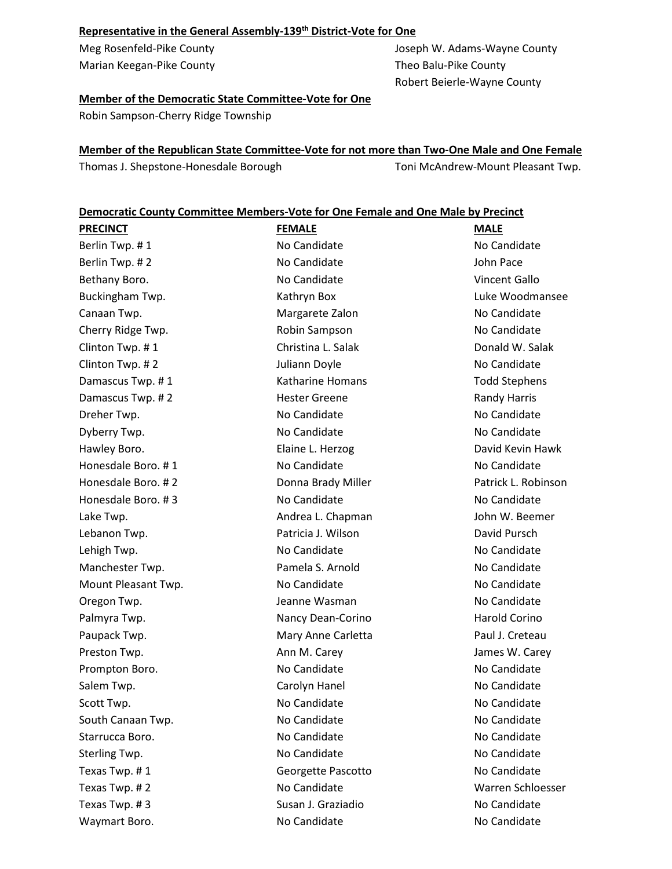# **Representative in the General Assembly-139th District-Vote for One**

Marian Keegan-Pike County **Theo Balu-Pike County** Theo Balu-Pike County

Meg Rosenfeld-Pike County Joseph W. Adams-Wayne County Robert Beierle-Wayne County

# **Member of the Democratic State Committee-Vote for One**

Robin Sampson-Cherry Ridge Township

# **Member of the Republican State Committee-Vote for not more than Two-One Male and One Female**

Thomas J. Shepstone-Honesdale Borough Toni McAndrew-Mount Pleasant Twp.

### **Democratic County Committee Members-Vote for One Female and One Male by Precinct**

| <b>PRECINCT</b>     | <b>FEMALE</b>           | <b>MALE</b>          |
|---------------------|-------------------------|----------------------|
| Berlin Twp. #1      | No Candidate            | No Candidate         |
| Berlin Twp. #2      | No Candidate            | John Pace            |
| Bethany Boro.       | No Candidate            | Vincent Gallo        |
| Buckingham Twp.     | Kathryn Box             | Luke Woodmansee      |
| Canaan Twp.         | Margarete Zalon         | No Candidate         |
| Cherry Ridge Twp.   | Robin Sampson           | No Candidate         |
| Clinton Twp. #1     | Christina L. Salak      | Donald W. Salak      |
| Clinton Twp. #2     | Juliann Doyle           | No Candidate         |
| Damascus Twp. #1    | <b>Katharine Homans</b> | <b>Todd Stephens</b> |
| Damascus Twp. #2    | <b>Hester Greene</b>    | <b>Randy Harris</b>  |
| Dreher Twp.         | No Candidate            | No Candidate         |
| Dyberry Twp.        | No Candidate            | No Candidate         |
| Hawley Boro.        | Elaine L. Herzog        | David Kevin Hawk     |
| Honesdale Boro. #1  | No Candidate            | No Candidate         |
| Honesdale Boro. #2  | Donna Brady Miller      | Patrick L. Robinson  |
| Honesdale Boro. #3  | No Candidate            | No Candidate         |
| Lake Twp.           | Andrea L. Chapman       | John W. Beemer       |
| Lebanon Twp.        | Patricia J. Wilson      | David Pursch         |
| Lehigh Twp.         | No Candidate            | No Candidate         |
| Manchester Twp.     | Pamela S. Arnold        | No Candidate         |
| Mount Pleasant Twp. | No Candidate            | No Candidate         |
| Oregon Twp.         | Jeanne Wasman           | No Candidate         |
| Palmyra Twp.        | Nancy Dean-Corino       | <b>Harold Corino</b> |
| Paupack Twp.        | Mary Anne Carletta      | Paul J. Creteau      |
| Preston Twp.        | Ann M. Carey            | James W. Carey       |
| Prompton Boro.      | No Candidate            | No Candidate         |
| Salem Twp.          | Carolyn Hanel           | No Candidate         |
| Scott Twp.          | No Candidate            | No Candidate         |
| South Canaan Twp.   | No Candidate            | No Candidate         |
| Starrucca Boro.     | No Candidate            | No Candidate         |
| Sterling Twp.       | No Candidate            | No Candidate         |
| Texas Twp. #1       | Georgette Pascotto      | No Candidate         |
| Texas Twp. #2       | No Candidate            | Warren Schloesser    |
| Texas Twp. #3       | Susan J. Graziadio      | No Candidate         |
| Waymart Boro.       | No Candidate            | No Candidate         |